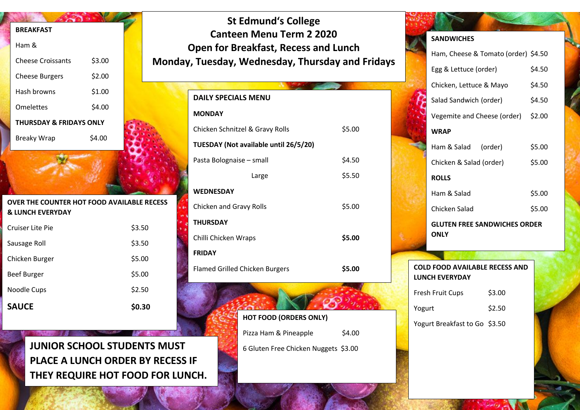| <b>BREAKFAST</b>                                                          |                       |        | <b>St Edmund's College</b><br><b>Canteen Menu Term 2 2020</b> |                                                  |                                       |        | <b>SANDWICHES</b>       |                                                                |                                     |        |
|---------------------------------------------------------------------------|-----------------------|--------|---------------------------------------------------------------|--------------------------------------------------|---------------------------------------|--------|-------------------------|----------------------------------------------------------------|-------------------------------------|--------|
| Ham &                                                                     |                       |        |                                                               | <b>Open for Breakfast, Recess and Lunch</b>      |                                       |        |                         |                                                                | Ham, Cheese & Tomato (order) \$4.50 |        |
| <b>Cheese Croissants</b><br>\$3.00                                        |                       |        |                                                               | Monday, Tuesday, Wednesday, Thursday and Fridays |                                       |        |                         | Egg & Lettuce (order)                                          |                                     | \$4.50 |
| \$2.00<br><b>Cheese Burgers</b>                                           |                       |        |                                                               |                                                  |                                       |        | Chicken, Lettuce & Mayo |                                                                | \$4.50                              |        |
|                                                                           | Hash browns<br>\$1.00 |        |                                                               | <b>DAILY SPECIALS MENU</b>                       |                                       |        |                         | Salad Sandwich (order)                                         |                                     | \$4.50 |
|                                                                           | <b>Omelettes</b>      | \$4.00 |                                                               | <b>MONDAY</b>                                    |                                       |        |                         |                                                                |                                     |        |
| <b>THURSDAY &amp; FRIDAYS ONLY</b>                                        |                       |        |                                                               |                                                  |                                       |        |                         | Vegemite and Cheese (order)                                    |                                     | \$2.00 |
|                                                                           | <b>Breaky Wrap</b>    | \$4.00 |                                                               |                                                  | Chicken Schnitzel & Gravy Rolls       | \$5.00 |                         | <b>WRAP</b>                                                    |                                     |        |
|                                                                           |                       |        |                                                               |                                                  | TUESDAY (Not available until 26/5/20) |        |                         | Ham & Salad                                                    | (order)                             | \$5.00 |
|                                                                           |                       |        |                                                               | Pasta Bolognaise - small                         |                                       | \$4.50 |                         | Chicken & Salad (order)                                        |                                     | \$5.00 |
|                                                                           |                       |        |                                                               |                                                  | Large                                 | \$5.50 |                         | <b>ROLLS</b>                                                   |                                     |        |
|                                                                           |                       |        |                                                               | <b>WEDNESDAY</b>                                 |                                       |        |                         | Ham & Salad                                                    |                                     | \$5.00 |
| OVER THE COUNTER HOT FOOD AVAILABLE RECESS<br><b>&amp; LUNCH EVERYDAY</b> |                       |        |                                                               | Chicken and Gravy Rolls                          |                                       | \$5.00 |                         | Chicken Salad                                                  |                                     | \$5.00 |
| Cruiser Lite Pie                                                          |                       |        | \$3.50                                                        | <b>THURSDAY</b>                                  |                                       |        |                         |                                                                | <b>GLUTEN FREE SANDWICHES ORDER</b> |        |
|                                                                           | Sausage Roll          |        | \$3.50                                                        | Chilli Chicken Wraps                             |                                       | \$5.00 |                         | <b>ONLY</b>                                                    |                                     |        |
|                                                                           | Chicken Burger        |        | \$5.00                                                        | <b>FRIDAY</b>                                    |                                       |        |                         |                                                                |                                     |        |
|                                                                           | <b>Beef Burger</b>    |        | \$5.00                                                        |                                                  | Flamed Grilled Chicken Burgers        | \$5.00 |                         | <b>COLD FOOD AVAILABLE RECESS AND</b><br><b>LUNCH EVERYDAY</b> |                                     |        |
|                                                                           | Noodle Cups           |        | \$2.50                                                        |                                                  |                                       |        |                         | Fresh Fruit Cups                                               | \$3.00                              |        |
|                                                                           | <b>SAUCE</b>          |        | \$0.30                                                        |                                                  |                                       |        | Yogurt                  |                                                                | \$2.50                              |        |
| <b>HOT FOOD (ORDERS ONLY)</b>                                             |                       |        |                                                               |                                                  | Yogurt Breakfast to Go \$3.50         |        |                         |                                                                |                                     |        |
|                                                                           |                       |        |                                                               |                                                  | Pizza Ham & Pineapple                 | \$4.00 |                         |                                                                |                                     |        |

**JUNIOR SCHOOL STUDENTS MUST** 6 Gluten Free Chicken Nuggets \$3.00 **PLACE A LUNCH ORDER BY RECESS IF THEY REQUIRE HOT FOOD FOR LUNCH.** 

**HOT FOOD WILL NOT BE AVAILABLE IN** 

**OVER THE COUNTER FOR MIDDLE PROPERTY**